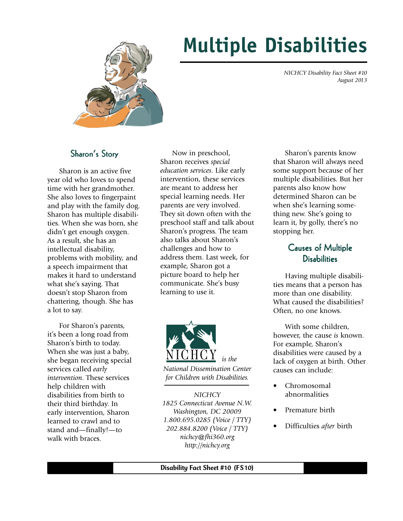

# **Multiple Disabilities**

 *NICHCY Disability Fact Sheet #10 August 2013*

### Sharon's Story

Sharon is an active five year old who loves to spend time with her grandmother. She also loves to fingerpaint and play with the family dog. Sharon has multiple disabilities. When she was born, she didn't get enough oxygen. As a result, she has an intellectual disability, problems with mobility, and a speech impairment that makes it hard to understand what she's saying. That doesn't stop Sharon from chattering, though. She has a lot to say.

For Sharon's parents, it's been a long road from Sharon's birth to today. When she was just a baby, she began receiving special services called *early intervention*. These services help children with disabilities from birth to their third birthday. In early intervention, Sharon learned to crawl and to stand and—finally!—to walk with braces.

Now in preschool, Sharon receives *special education services*. Like early intervention, these services are meant to address her special learning needs. Her parents are very involved. They sit down often with the preschool staff and talk about Sharon's progress. The team also talks about Sharon's challenges and how to address them. Last week, for example, Sharon got a picture board to help her communicate. She's busy learning to use it.



*NICHCY 1825 Connecticut Avenue N.W. Washington, DC 20009 1.800.695.0285 (Voice / TTY) 202.884.8200 (Voice / TTY) nichcy@fhi360.org http://nichcy.org*

Sharon's parents know that Sharon will always need some support because of her multiple disabilities. But her parents also know how determined Sharon can be when she's learning something new. She's going to learn it, by golly, there's no stopping her.

# **Causes of Multiple Disabilities**

Having multiple disabilities means that a person has more than one disability. What caused the disabilities? Often, no one knows.

With some children, however, the cause *is* known. For example, Sharon's disabilities were caused by a lack of oxygen at birth. Other causes can include:

- Chromosomal abnormalities
- Premature birth
- Difficulties *after* birth

Disability Fact Sheet #10 (FS10)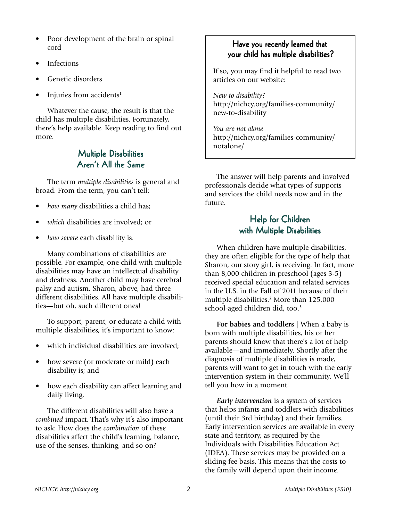- Poor development of the brain or spinal cord
- **Infections**
- Genetic disorders
- Injuries from accidents**<sup>1</sup>**

Whatever the cause, the result is that the child has multiple disabilities. Fortunately, there's help available. Keep reading to find out more.

# **Multiple Disabilities** Aren't All the Same

The term *multiple disabilities* is general and broad. From the term, you can't tell:

- *how many* disabilities a child has;
- *which* disabilities are involved; or
- *how severe* each disability is.

Many combinations of disabilities are possible. For example, one child with multiple disabilities may have an intellectual disability and deafness. Another child may have cerebral palsy and autism. Sharon, above, had three different disabilities. All have multiple disabilities—but oh, such different ones!

To support, parent, or educate a child with multiple disabilities, it's important to know:

- which individual disabilities are involved;
- how severe (or moderate or mild) each disability is; and
- how each disability can affect learning and daily living.

The different disabilities will also have a *combined* impact. That's why it's also important to ask: How does the *combination* of these disabilities affect the child's learning, balance, use of the senses, thinking, and so on?

## Have you recently learned that your child has multiple disabilities?

If so, you may find it helpful to read two articles on our website:

*New to disability?* http://nichcy.org/families-community/ new-to-disability

*You are not alone* http://nichcy.org/families-community/ notalone/

The answer will help parents and involved professionals decide what types of supports and services the child needs now and in the future.

## Help for Children with Multiple Disabilities

When children have multiple disabilities, they are often eligible for the type of help that Sharon, our story girl, is receiving. In fact, more than 8,000 children in preschool (ages 3-5) received special education and related services in the U.S. in the Fall of 2011 because of their multiple disabilities.**<sup>2</sup>** More than 125,000 school-aged children did, too.**<sup>3</sup>**

**For babies and toddlers** | When a baby is born with multiple disabilities, his or her parents should know that there's a lot of help available—and immediately. Shortly after the diagnosis of multiple disabilities is made, parents will want to get in touch with the early intervention system in their community. We'll tell you how in a moment.

*Early intervention* is a system of services that helps infants and toddlers with disabilities (until their 3rd birthday) and their families. Early intervention services are available in every state and territory, as required by the Individuals with Disabilities Education Act (IDEA). These services may be provided on a sliding-fee basis. This means that the costs to the family will depend upon their income.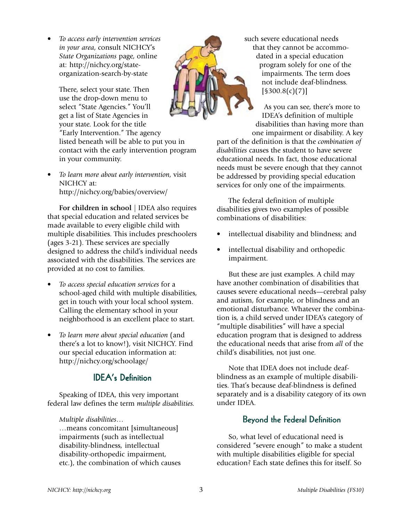• *To access early intervention services in your area*, consult NICHCY's *State Organizations* page, online at: http://nichcy.org/stateorganization-search-by-state

There, select your state. Then use the drop-down menu to select "State Agencies." You'll get a list of State Agencies in your state. Look for the title "Early Intervention." The agency listed beneath will be able to put you in contact with the early intervention program in your community.

• *To learn more about early intervention,* visit NICHCY at: http://nichcy.org/babies/overview/

**For children in school** | IDEA also requires that special education and related services be made available to every eligible child with multiple disabilities. This includes preschoolers (ages 3-21). These services are specially designed to address the child's individual needs associated with the disabilities. The services are provided at no cost to families.

- *To access special education services* for a school-aged child with multiple disabilities, get in touch with your local school system. Calling the elementary school in your neighborhood is an excellent place to start.
- *To learn more about special education* (and there's a lot to know!), visit NICHCY. Find our special education information at: http://nichcy.org/schoolage/

# **IDEA's Definition**

Speaking of IDEA, this very important federal law defines the term *multiple disabilities.*

#### *Multiple disabilities…*

…means concomitant [simultaneous] impairments (such as intellectual disability-blindness, intellectual disability-orthopedic impairment, etc.), the combination of which causes



such severe educational needs that they cannot be accommodated in a special education program solely for one of the impairments. The term does not include deaf-blindness. [§300.8(c)(7)]

As you can see, there's more to IDEA's definition of multiple disabilities than having more than one impairment or disability. A key

part of the definition is that the *combination of disabilities* causes the student to have severe educational needs. In fact, those educational needs must be severe enough that they cannot be addressed by providing special education services for only one of the impairments.

The federal definition of multiple disabilities gives two examples of possible combinations of disabilities:

- intellectual disability and blindness; and
- intellectual disability and orthopedic impairment.

But these are just examples. A child may have another combination of disabilities that causes severe educational needs—cerebral palsy and autism, for example, or blindness and an emotional disturbance. Whatever the combination is, a child served under IDEA's category of "multiple disabilities" will have a special education program that is designed to address the educational needs that arise from *all* of the child's disabilities, not just one.

Note that IDEA does not include deafblindness as an example of multiple disabilities. That's because deaf-blindness is defined separately and is a disability category of its own under IDEA.

## Beyond the Federal Definition

So, what level of educational need is considered "severe enough" to make a student with multiple disabilities eligible for special education? Each state defines this for itself. So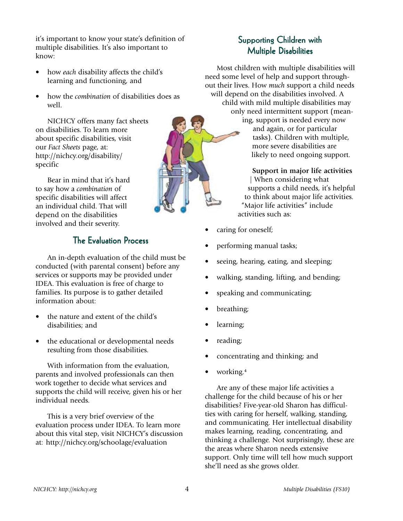it's important to know your state's definition of multiple disabilities. It's also important to know:

- how *each* disability affects the child's learning and functioning, and
- how the *combination* of disabilities does as well.

NICHCY offers many fact sheets on disabilities. To learn more about specific disabilities, visit our *Fact Sheets* page, at: http://nichcy.org/disability/ specific

Bear in mind that it's hard to say how a *combination* of specific disabilities will affect an individual child. That will depend on the disabilities involved and their severity.

# **The Evaluation Process**

An in-depth evaluation of the child must be conducted (with parental consent) before any services or supports may be provided under IDEA. This evaluation is free of charge to families. Its purpose is to gather detailed information about:

- the nature and extent of the child's disabilities; and
- the educational or developmental needs resulting from those disabilities.

With information from the evaluation, parents and involved professionals can then work together to decide what services and supports the child will receive, given his or her individual needs.

This is a very brief overview of the evaluation process under IDEA. To learn more about this vital step, visit NICHCY's discussion at: http://nichcy.org/schoolage/evaluation

# Supporting Children with **Multiple Disabilities**

Most children with multiple disabilities will need some level of help and support throughout their lives. How *much* support a child needs will depend on the disabilities involved. A child with mild multiple disabilities may only need intermittent support (meaning, support is needed every now and again, or for particular tasks). Children with multiple, more severe disabilities are likely to need ongoing support.

#### **Support in major life activities**

| When considering what supports a child needs, it's helpful to think about major life activities. "Major life activities" include activities such as:

- caring for oneself;
- performing manual tasks;
- seeing, hearing, eating, and sleeping;
- walking, standing, lifting, and bending;
- speaking and communicating;
- breathing;
- learning;
- reading;
- concentrating and thinking; and
- working.**<sup>4</sup>**

Are any of these major life activities a challenge for the child because of his or her disabilities? Five-year-old Sharon has difficulties with caring for herself, walking, standing, and communicating. Her intellectual disability makes learning, reading, concentrating, and thinking a challenge. Not surprisingly, these are the areas where Sharon needs extensive support. Only time will tell how much support she'll need as she grows older.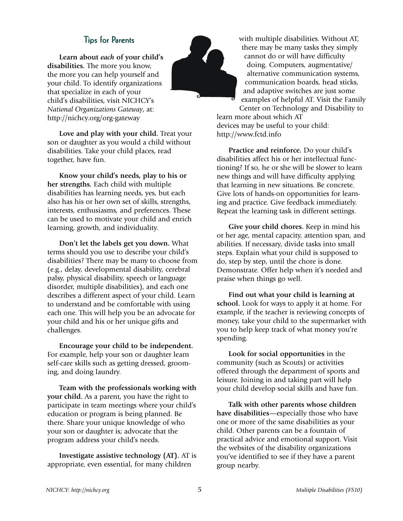### Tips for Parents

**Learn about** *each* **of your child's disabilities.** The more you know, the more you can help yourself and your child. To identify organizations that specialize in each of your child's disabilities, visit NICHCY's *National Organizations Gateway*, at: http://nichcy.org/org-gateway

**Love and play with your child.** Treat your son or daughter as you would a child without disabilities. Take your child places, read together, have fun.

**Know your child's needs, play to his or her strengths.** Each child with multiple disabilities has learning needs, yes, but each also has his or her own set of skills, strengths, interests, enthusiasms, and preferences. These can be used to motivate your child and enrich learning, growth, and individuality.

**Don't let the labels get you down.** What terms should you use to describe your child's disabilities? There may be many to choose from (e.g., delay, developmental disability, cerebral palsy, physical disability, speech or language disorder, multiple disabilities), and each one describes a different aspect of your child. Learn to understand and be comfortable with using each one. This will help you be an advocate for your child and his or her unique gifts and challenges.

**Encourage your child to be independent.** For example, help your son or daughter learn self-care skills such as getting dressed, grooming, and doing laundry.

**Team with the professionals working with your child.** As a parent, you have the right to participate in team meetings where your child's education or program is being planned. Be there. Share your unique knowledge of who your son or daughter is; advocate that the program address your child's needs.

**Investigate assistive technology (AT).** AT is appropriate, even essential, for many children



with multiple disabilities. Without AT, there may be many tasks they simply cannot do or will have difficulty doing. Computers, augmentative/ alternative communication systems, communication boards, head sticks, and adaptive switches are just some examples of helpful AT. Visit the Family

Center on Technology and Disability to learn more about which AT devices may be useful to your child: http://www.fctd.info

**Practice and reinforce.** Do your child's disabilities affect his or her intellectual functioning? If so, he or she will be slower to learn new things and will have difficulty applying that learning in new situations. Be concrete. Give lots of hands-on opportunities for learning and practice. Give feedback immediately. Repeat the learning task in different settings.

**Give your child chores.** Keep in mind his or her age, mental capacity, attention span, and abilities. If necessary, divide tasks into small steps. Explain what your child is supposed to do, step by step, until the chore is done. Demonstrate. Offer help when it's needed and praise when things go well.

**Find out what your child is learning at school.** Look for ways to apply it at home. For example, if the teacher is reviewing concepts of money, take your child to the supermarket with you to help keep track of what money you're spending.

**Look for social opportunities** in the community (such as Scouts) or activities offered through the department of sports and leisure. Joining in and taking part will help your child develop social skills and have fun.

**Talk with other parents whose children have disabilities**—especially those who have one or more of the same disabilities as your child. Other parents can be a fountain of practical advice and emotional support. Visit the websites of the disability organizations you've identified to see if they have a parent group nearby.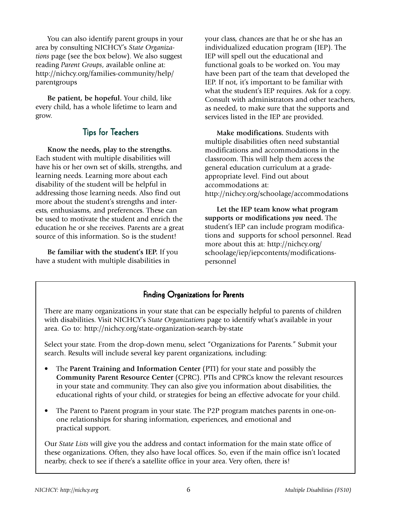You can also identify parent groups in your area by consulting NICHCY's *State Organizations* page (see the box below). We also suggest reading *Parent Groups*, available online at: http://nichcy.org/families-community/help/ parentgroups

**Be patient, be hopeful.** Your child, like every child, has a whole lifetime to learn and grow.

## Tips for Teachers

**Know the needs, play to the strengths.** Each student with multiple disabilities will have his or her own set of skills, strengths, and learning needs. Learning more about each disability of the student will be helpful in addressing those learning needs. Also find out more about the student's strengths and interests, enthusiasms, and preferences. These can be used to motivate the student and enrich the education he or she receives. Parents are a great source of this information. So is the student!

**Be familiar with the student's IEP.** If you have a student with multiple disabilities in

your class, chances are that he or she has an individualized education program (IEP). The IEP will spell out the educational and functional goals to be worked on. You may have been part of the team that developed the IEP. If not, it's important to be familiar with what the student's IEP requires. Ask for a copy. Consult with administrators and other teachers, as needed, to make sure that the supports and services listed in the IEP are provided.

**Make modifications.** Students with multiple disabilities often need substantial modifications and accommodations in the classroom. This will help them access the general education curriculum at a gradeappropriate level. Find out about accommodations at: http://nichcy.org/schoolage/accommodations

**Let the IEP team know what program supports or modifications** *you* **need.** The student's IEP can include program modifications and supports for school personnel. Read more about this at: http://nichcy.org/ schoolage/iep/iepcontents/modificationspersonnel

## Finding Organizations for Parents

There are many organizations in your state that can be especially helpful to parents of children with disabilities. Visit NICHCY's *State Organizations* page to identify what's available in your area. Go to: http://nichcy.org/state-organization-search-by-state

Select your state. From the drop-down menu, select "Organizations for Parents." Submit your search. Results will include several key parent organizations, including:

- The **Parent Training and Information Center** (PTI) for your state and possibly the **Community Parent Resource Center** (CPRC). PTIs and CPRCs know the relevant resources in your state and community. They can also give you information about disabilities, the educational rights of your child, or strategies for being an effective advocate for your child.
- The Parent to Parent program in your state. The P2P program matches parents in one-onone relationships for sharing information, experiences, and emotional and practical support.

Our *State Lists* will give you the address and contact information for the main state office of these organizations. Often, they also have local offices. So, even if the main office isn't located nearby, check to see if there's a satellite office in your area. Very often, there is!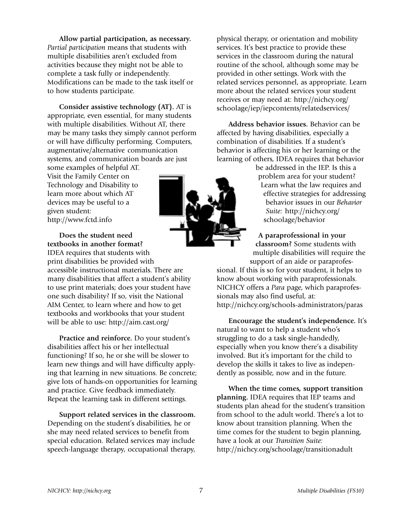**Allow partial participation, as necessary.** *Partial participation* means that students with multiple disabilities aren't excluded from activities because they might not be able to complete a task fully or independently. Modifications can be made to the task itself or to how students participate.

**Consider assistive technology (AT).** AT is appropriate, even essential, for many students with multiple disabilities. Without AT, there may be many tasks they simply cannot perform or will have difficulty performing. Computers, augmentative/alternative communication systems, and communication boards are just some examples of helpful AT.

Visit the Family Center on Technology and Disability to learn more about which AT devices may be useful to a given student: http://www.fctd.info

**Does the student need textbooks in another format?**

IDEA requires that students with print disabilities be provided with accessible instructional materials. There are many disabilities that affect a student's ability to use print materials; does your student have one such disability? If so, visit the National AIM Center, to learn where and how to get textbooks and workbooks that your student will be able to use: http://aim.cast.org/

**Practice and reinforce.** Do your student's disabilities affect his or her intellectual functioning? If so, he or she will be slower to learn new things and will have difficulty applying that learning in new situations. Be concrete; give lots of hands-on opportunities for learning and practice. Give feedback immediately. Repeat the learning task in different settings.

**Support related services in the classroom.** Depending on the student's disabilities, he or she may need related services to benefit from special education. Related services may include speech-language therapy, occupational therapy,

physical therapy, or orientation and mobility services. It's best practice to provide these services in the classroom during the natural routine of the school, although some may be provided in other settings. Work with the related services personnel, as appropriate. Learn more about the related services your student receives or may need at: http://nichcy.org/ schoolage/iep/iepcontents/relatedservices/

**Address behavior issues.** Behavior can be affected by having disabilities, especially a combination of disabilities. If a student's behavior is affecting his or her learning or the learning of others, IDEA requires that behavior

> be addressed in the IEP. Is this a problem area for your student? Learn what the law requires and effective strategies for addressing behavior issues in our *Behavior Suite:* http://nichcy.org/ schoolage/behavior

**A paraprofessional in your classroom?** Some students with multiple disabilities will require the support of an aide or paraprofes-

sional. If this is so for your student, it helps to know about working with paraprofessionals. NICHCY offers a *Para* page, which paraprofessionals may also find useful, at: http://nichcy.org/schools-administrators/paras

**Encourage the student's independence.** It's natural to want to help a student who's struggling to do a task single-handedly, especially when you know there's a disability involved. But it's important for the child to develop the skills it takes to live as independently as possible, now and in the future.

**When the time comes, support transition planning.** IDEA requires that IEP teams and students plan ahead for the student's transition from school to the adult world. There's a lot to know about transition planning. When the time comes for the student to begin planning, have a look at our *Transition Suite:* http://nichcy.org/schoolage/transitionadult